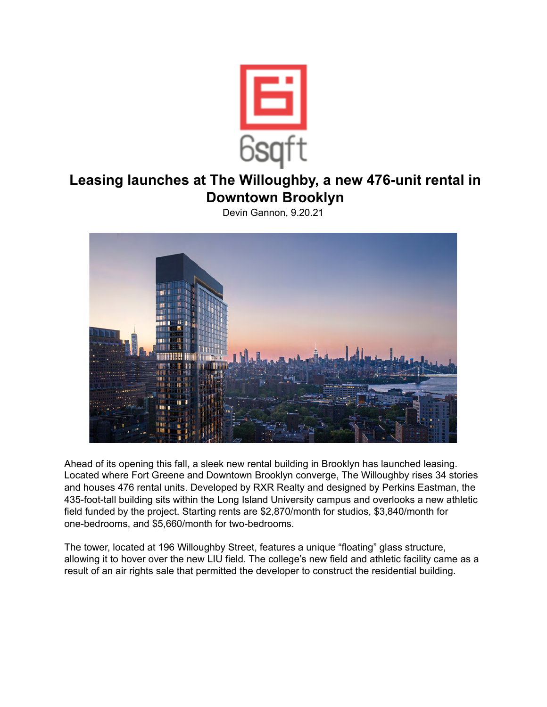

## **Leasing launches at The Willoughby, a new 476-unit rental in Downtown Brooklyn**

Devin Gannon, 9.20.21



Ahead of its opening this fall, a sleek new rental building in Brooklyn has launched leasing. Located where Fort Greene and Downtown Brooklyn converge, The Willoughby rises 34 stories and houses 476 rental units. Developed by RXR Realty and designed by Perkins Eastman, the 435-foot-tall building sits within the Long Island University campus and overlooks a new athletic field funded by the project. Starting rents are \$2,870/month for studios, \$3,840/month for one-bedrooms, and \$5,660/month for two-bedrooms.

The tower, located at 196 Willoughby Street, features a unique "floating" glass structure, allowing it to hover over the new LIU field. The college's new field and athletic facility came as a result of an air rights sale that permitted the developer to construct the residential building.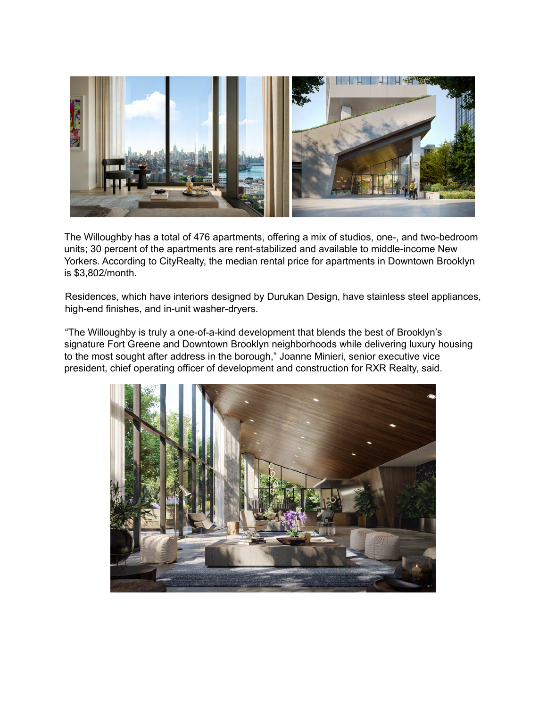

The Willoughby has a total of 476 apartments, offering a mix of studios, one-, and two-bedroom units; 30 percent of the apartments are rent-stabilized and available to middle-income New Yorkers. According to CityRealty, the median rental price for apartments in Downtown Brooklyn is \$3,802/month.

Residences, which have interiors designed by Durukan Design, have stainless steel appliances, high-end finishes, and in-unit washer-dryers.

"The Willoughby is truly a one-of-a-kind development that blends the best of Brooklyn's signature Fort Greene and Downtown Brooklyn neighborhoods while delivering luxury housing to the most sought after address in the borough," Joanne Minieri, senior executive vice president, chief operating officer of development and construction for RXR Realty, said.